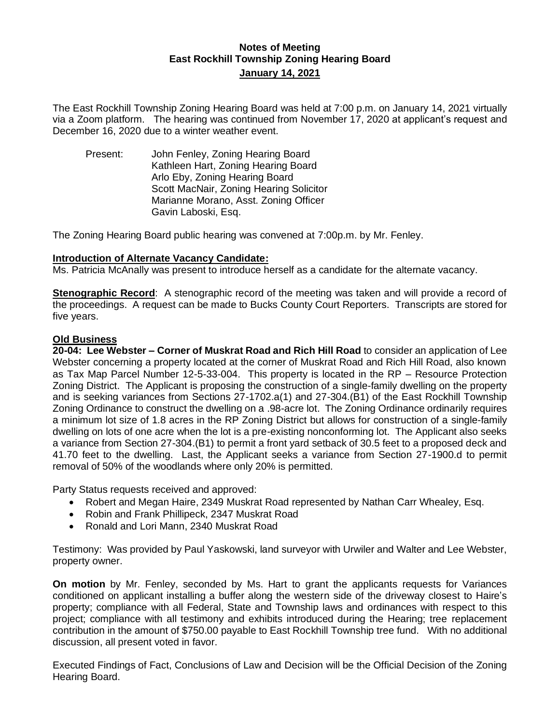## **Notes of Meeting East Rockhill Township Zoning Hearing Board January 14, 2021**

The East Rockhill Township Zoning Hearing Board was held at 7:00 p.m. on January 14, 2021 virtually via a Zoom platform. The hearing was continued from November 17, 2020 at applicant's request and December 16, 2020 due to a winter weather event.

Present: John Fenley, Zoning Hearing Board Kathleen Hart, Zoning Hearing Board Arlo Eby, Zoning Hearing Board Scott MacNair, Zoning Hearing Solicitor Marianne Morano, Asst. Zoning Officer Gavin Laboski, Esq.

The Zoning Hearing Board public hearing was convened at 7:00p.m. by Mr. Fenley.

#### **Introduction of Alternate Vacancy Candidate:**

Ms. Patricia McAnally was present to introduce herself as a candidate for the alternate vacancy.

**Stenographic Record**: A stenographic record of the meeting was taken and will provide a record of the proceedings. A request can be made to Bucks County Court Reporters. Transcripts are stored for five years.

#### **Old Business**

**20-04: Lee Webster – Corner of Muskrat Road and Rich Hill Road** to consider an application of Lee Webster concerning a property located at the corner of Muskrat Road and Rich Hill Road, also known as Tax Map Parcel Number 12-5-33-004. This property is located in the RP – Resource Protection Zoning District. The Applicant is proposing the construction of a single-family dwelling on the property and is seeking variances from Sections 27-1702.a(1) and 27-304.(B1) of the East Rockhill Township Zoning Ordinance to construct the dwelling on a .98-acre lot. The Zoning Ordinance ordinarily requires a minimum lot size of 1.8 acres in the RP Zoning District but allows for construction of a single-family dwelling on lots of one acre when the lot is a pre-existing nonconforming lot. The Applicant also seeks a variance from Section 27-304.(B1) to permit a front yard setback of 30.5 feet to a proposed deck and 41.70 feet to the dwelling. Last, the Applicant seeks a variance from Section 27-1900.d to permit removal of 50% of the woodlands where only 20% is permitted.

Party Status requests received and approved:

- Robert and Megan Haire, 2349 Muskrat Road represented by Nathan Carr Whealey, Esq.
- Robin and Frank Phillipeck, 2347 Muskrat Road
- Ronald and Lori Mann, 2340 Muskrat Road

Testimony: Was provided by Paul Yaskowski, land surveyor with Urwiler and Walter and Lee Webster, property owner.

**On motion** by Mr. Fenley, seconded by Ms. Hart to grant the applicants requests for Variances conditioned on applicant installing a buffer along the western side of the driveway closest to Haire's property; compliance with all Federal, State and Township laws and ordinances with respect to this project; compliance with all testimony and exhibits introduced during the Hearing; tree replacement contribution in the amount of \$750.00 payable to East Rockhill Township tree fund. With no additional discussion, all present voted in favor.

Executed Findings of Fact, Conclusions of Law and Decision will be the Official Decision of the Zoning Hearing Board.